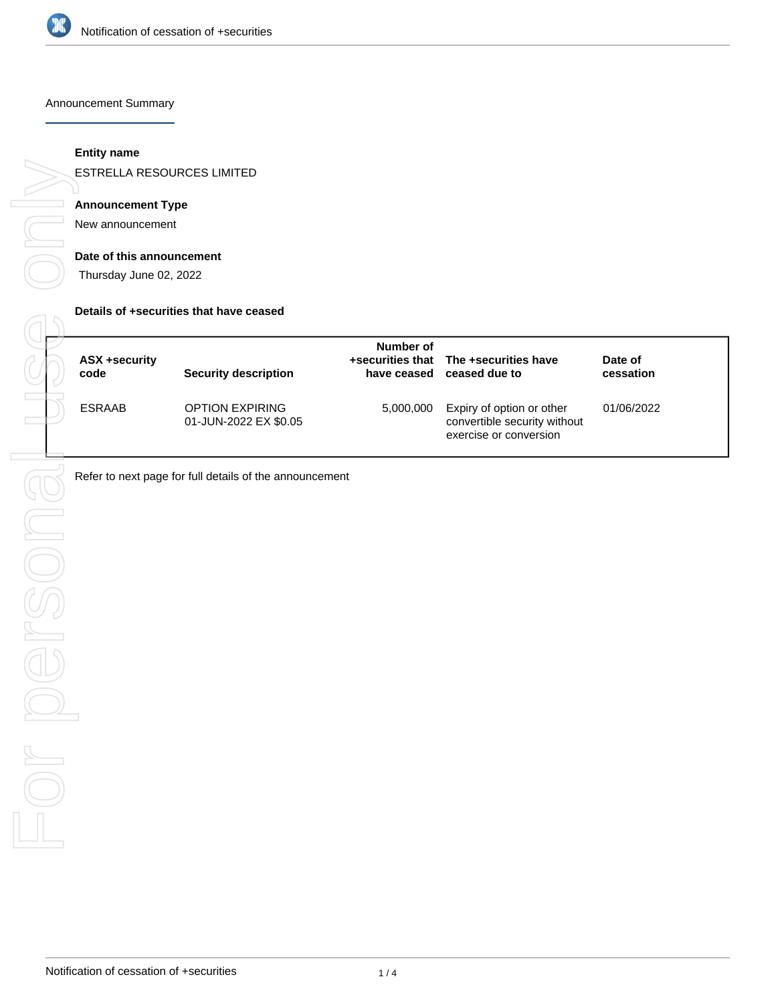

Announcement Summary

### **Entity name**

ESTRELLA RESOURCES LIMITED

## **Announcement Type**

New announcement

#### **Date of this announcement**

Thursday June 02, 2022

#### **Details of +securities that have ceased**

| <b>ASX +security</b><br>code | <b>Security description</b>                     | Number of<br>have ceased | +securities that The +securities have<br>ceased due to                              | Date of<br>cessation |  |
|------------------------------|-------------------------------------------------|--------------------------|-------------------------------------------------------------------------------------|----------------------|--|
| <b>ESRAAB</b>                | <b>OPTION EXPIRING</b><br>01-JUN-2022 EX \$0.05 | 5,000,000                | Expiry of option or other<br>convertible security without<br>exercise or conversion | 01/06/2022           |  |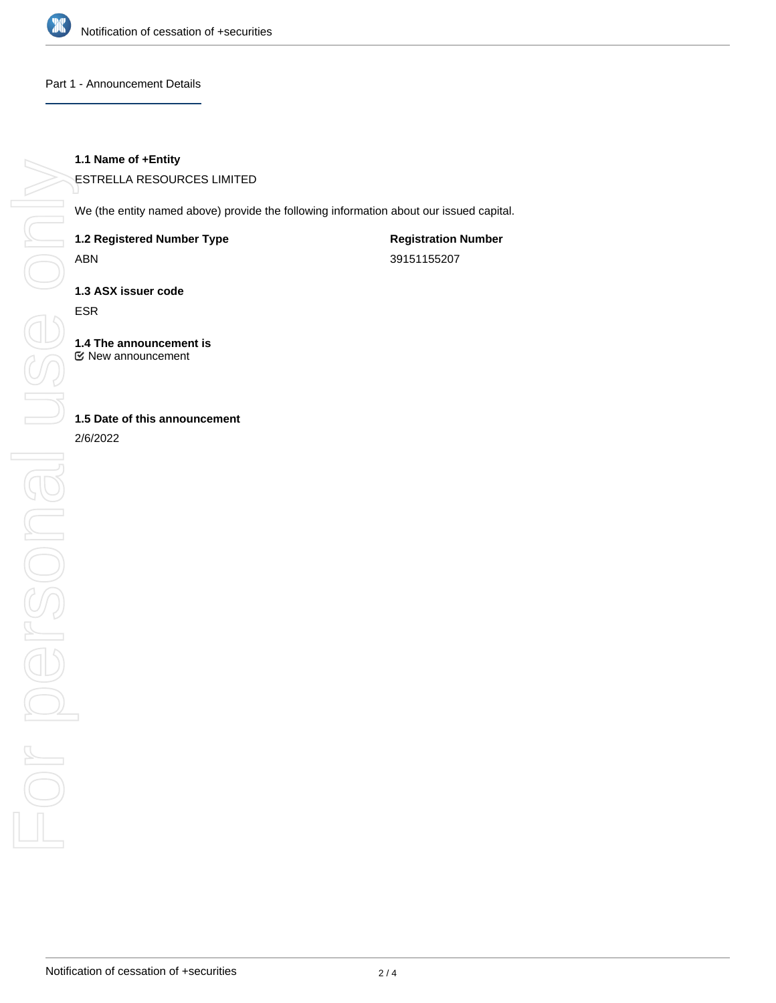

#### Part 1 - Announcement Details

### **1.1 Name of +Entity**

ESTRELLA RESOURCES LIMITED

We (the entity named above) provide the following information about our issued capital.

**1.2 Registered Number Type**

ABN

**Registration Number** 39151155207

**1.3 ASX issuer code**

ESR

**1.4 The announcement is** New announcement

## **1.5 Date of this announcement**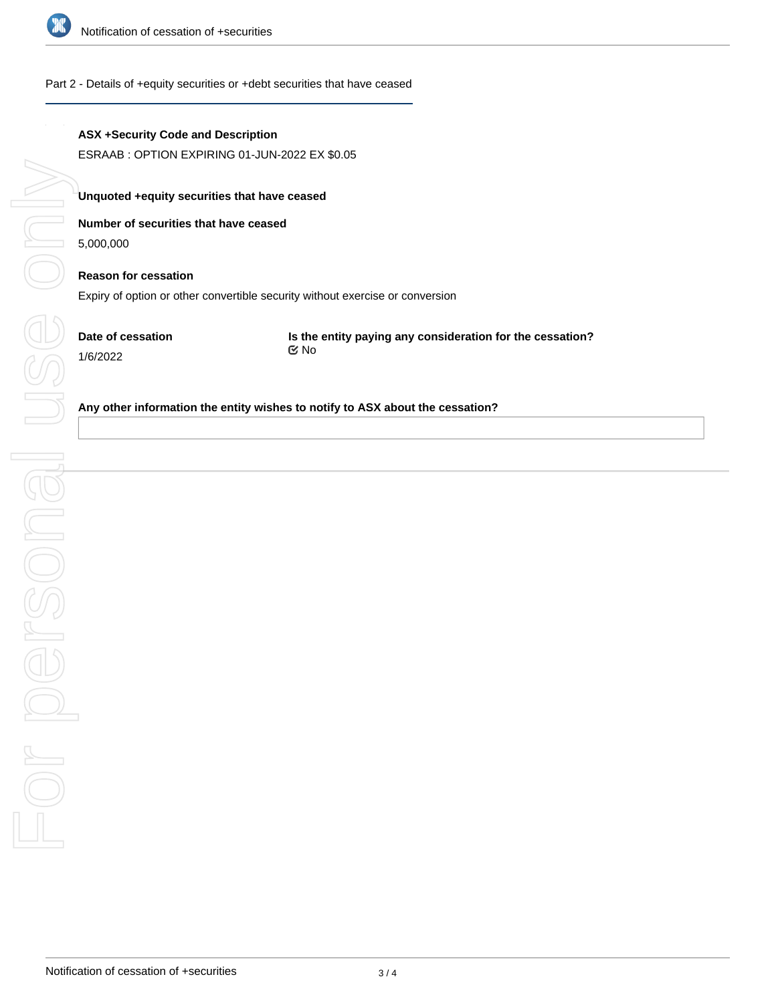

## Part 2 - Details of +equity securities or +debt securities that have ceased

# **ASX +Security Code and Description**

ESRAAB : OPTION EXPIRING 01-JUN-2022 EX \$0.05

# **Unquoted +equity securities that have ceased**

## **Number of securities that have ceased**

5,000,000

# **Reason for cessation** Expiry of option or other convertible security without exercise or conversion

**Date of cessation** 1/6/2022

**Is the entity paying any consideration for the cessation?** No

### **Any other information the entity wishes to notify to ASX about the cessation?**